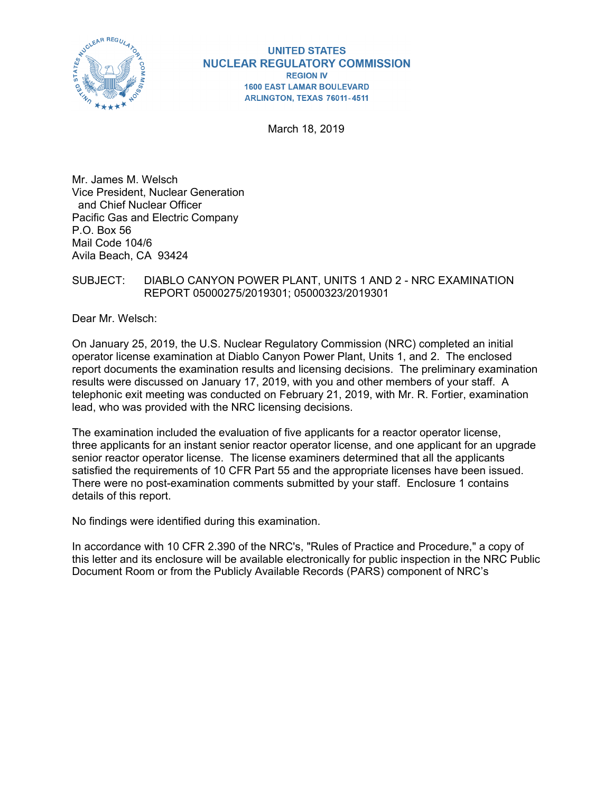

#### **UNITED STATES NUCLEAR REGULATORY COMMISSION REGION IV 1600 EAST LAMAR BOULEVARD** ARLINGTON, TEXAS 76011-4511

March 18, 2019

Mr. James M. Welsch Vice President, Nuclear Generation and Chief Nuclear Officer Pacific Gas and Electric Company P.O. Box 56 Mail Code 104/6 Avila Beach, CA 93424

### SUBJECT: DIABLO CANYON POWER PLANT, UNITS 1 AND 2 - NRC EXAMINATION REPORT 05000275/2019301; 05000323/2019301

Dear Mr. Welsch:

On January 25, 2019, the U.S. Nuclear Regulatory Commission (NRC) completed an initial operator license examination at Diablo Canyon Power Plant, Units 1, and 2. The enclosed report documents the examination results and licensing decisions. The preliminary examination results were discussed on January 17, 2019, with you and other members of your staff. A telephonic exit meeting was conducted on February 21, 2019, with Mr. R. Fortier, examination lead, who was provided with the NRC licensing decisions.

The examination included the evaluation of five applicants for a reactor operator license, three applicants for an instant senior reactor operator license, and one applicant for an upgrade senior reactor operator license. The license examiners determined that all the applicants satisfied the requirements of 10 CFR Part 55 and the appropriate licenses have been issued. There were no post-examination comments submitted by your staff. Enclosure 1 contains details of this report.

No findings were identified during this examination.

In accordance with 10 CFR 2.390 of the NRC's, "Rules of Practice and Procedure," a copy of this letter and its enclosure will be available electronically for public inspection in the NRC Public Document Room or from the Publicly Available Records (PARS) component of NRC's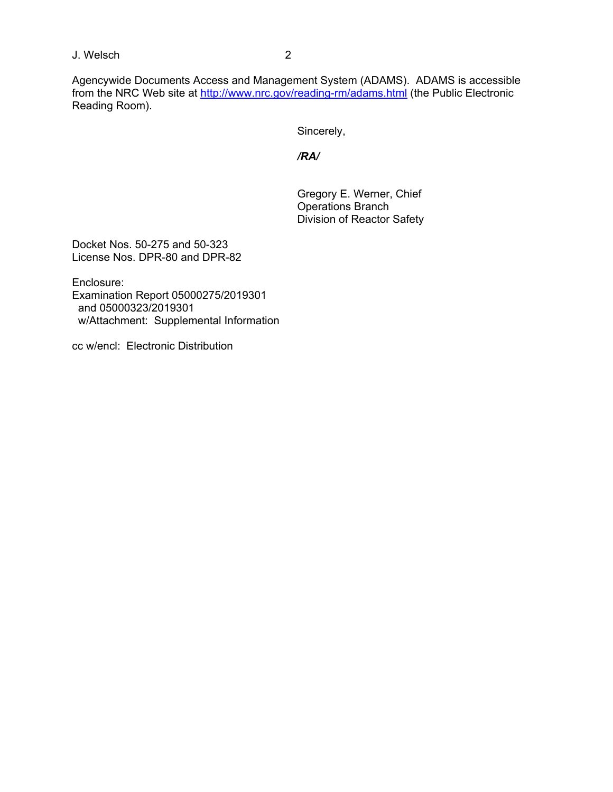J. Welsch 2

Agencywide Documents Access and Management System (ADAMS). ADAMS is accessible from the NRC Web site at http://www.nrc.gov/reading-rm/adams.html (the Public Electronic Reading Room).

Sincerely,

 */RA/*

 Gregory E. Werner, Chief Operations Branch Division of Reactor Safety

Docket Nos. 50-275 and 50-323 License Nos. DPR-80 and DPR-82

Enclosure: Examination Report 05000275/2019301 and 05000323/2019301 w/Attachment: Supplemental Information

cc w/encl: Electronic Distribution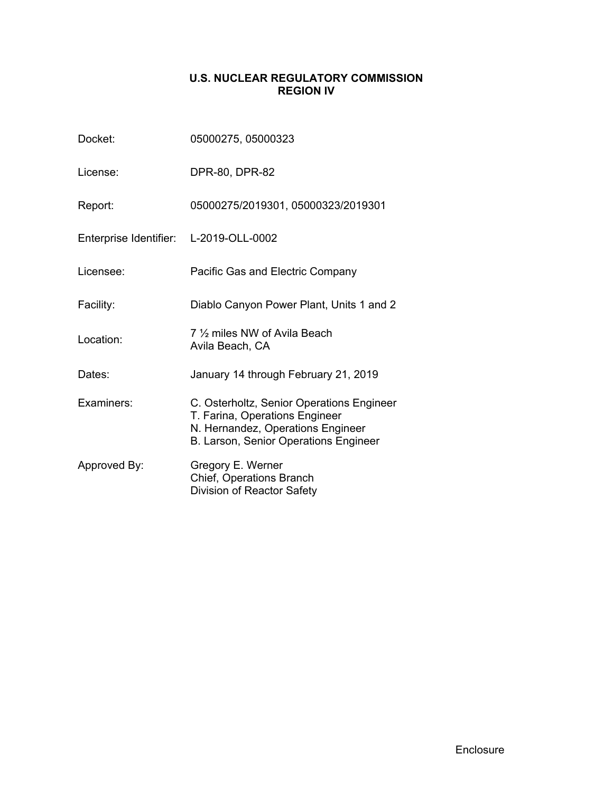# **U.S. NUCLEAR REGULATORY COMMISSION REGION IV**

| Docket:                                | 05000275, 05000323                                                                                                                                        |  |  |  |
|----------------------------------------|-----------------------------------------------------------------------------------------------------------------------------------------------------------|--|--|--|
| License:                               | DPR-80, DPR-82                                                                                                                                            |  |  |  |
| Report:                                | 05000275/2019301, 05000323/2019301                                                                                                                        |  |  |  |
| Enterprise Identifier: L-2019-OLL-0002 |                                                                                                                                                           |  |  |  |
| Licensee:                              | Pacific Gas and Electric Company                                                                                                                          |  |  |  |
| Facility:                              | Diablo Canyon Power Plant, Units 1 and 2                                                                                                                  |  |  |  |
| Location:                              | 7 1/2 miles NW of Avila Beach<br>Avila Beach, CA                                                                                                          |  |  |  |
| Dates:                                 | January 14 through February 21, 2019                                                                                                                      |  |  |  |
| Examiners:                             | C. Osterholtz, Senior Operations Engineer<br>T. Farina, Operations Engineer<br>N. Hernandez, Operations Engineer<br>B. Larson, Senior Operations Engineer |  |  |  |
| Approved By:                           | Gregory E. Werner<br>Chief, Operations Branch<br>Division of Reactor Safety                                                                               |  |  |  |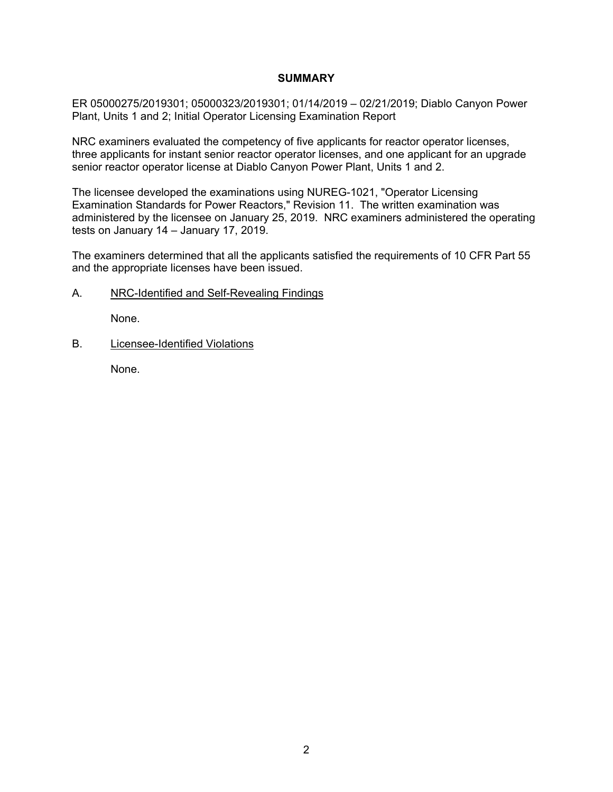### **SUMMARY**

ER 05000275/2019301; 05000323/2019301; 01/14/2019 – 02/21/2019; Diablo Canyon Power Plant, Units 1 and 2; Initial Operator Licensing Examination Report

NRC examiners evaluated the competency of five applicants for reactor operator licenses, three applicants for instant senior reactor operator licenses, and one applicant for an upgrade senior reactor operator license at Diablo Canyon Power Plant, Units 1 and 2.

The licensee developed the examinations using NUREG-1021, "Operator Licensing Examination Standards for Power Reactors," Revision 11. The written examination was administered by the licensee on January 25, 2019. NRC examiners administered the operating tests on January 14 – January 17, 2019.

The examiners determined that all the applicants satisfied the requirements of 10 CFR Part 55 and the appropriate licenses have been issued.

### A. NRC-Identified and Self-Revealing Findings

None.

B. Licensee-Identified Violations

None.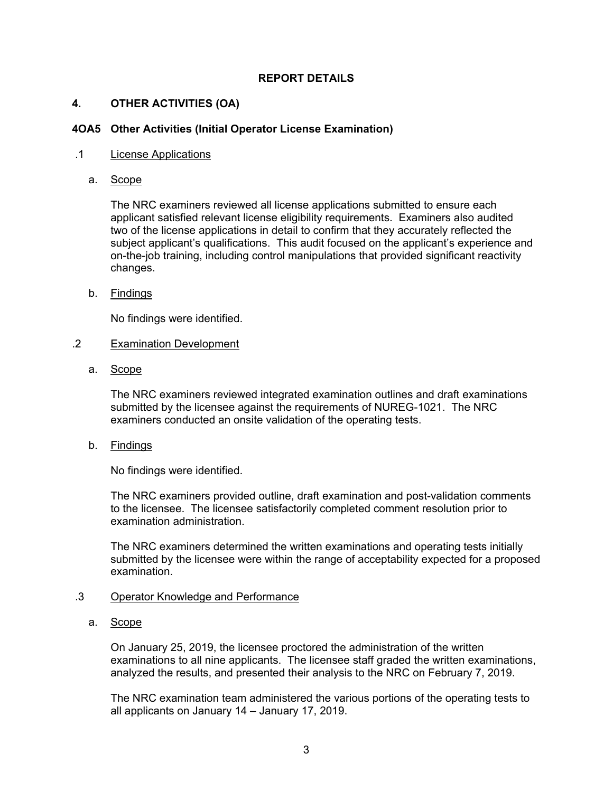## **REPORT DETAILS**

### **4. OTHER ACTIVITIES (OA)**

### **4OA5 Other Activities (Initial Operator License Examination)**

#### .1 License Applications

a. Scope

The NRC examiners reviewed all license applications submitted to ensure each applicant satisfied relevant license eligibility requirements. Examiners also audited two of the license applications in detail to confirm that they accurately reflected the subject applicant's qualifications. This audit focused on the applicant's experience and on-the-job training, including control manipulations that provided significant reactivity changes.

### b. Findings

No findings were identified.

### .2 Examination Development

a. Scope

The NRC examiners reviewed integrated examination outlines and draft examinations submitted by the licensee against the requirements of NUREG-1021. The NRC examiners conducted an onsite validation of the operating tests.

b. Findings

No findings were identified.

The NRC examiners provided outline, draft examination and post-validation comments to the licensee. The licensee satisfactorily completed comment resolution prior to examination administration.

The NRC examiners determined the written examinations and operating tests initially submitted by the licensee were within the range of acceptability expected for a proposed examination.

### .3 Operator Knowledge and Performance

a. Scope

On January 25, 2019, the licensee proctored the administration of the written examinations to all nine applicants. The licensee staff graded the written examinations, analyzed the results, and presented their analysis to the NRC on February 7, 2019.

The NRC examination team administered the various portions of the operating tests to all applicants on January 14 – January 17, 2019.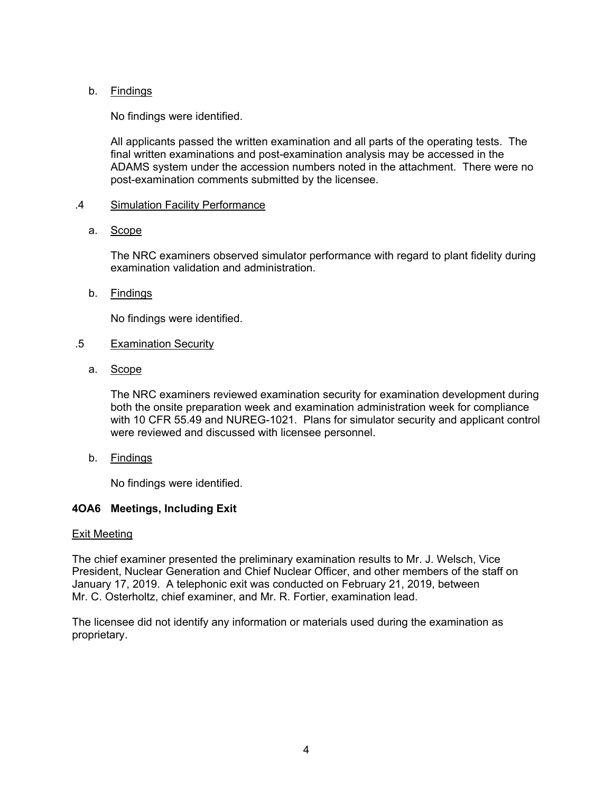## b. Findings

No findings were identified.

All applicants passed the written examination and all parts of the operating tests. The final written examinations and post-examination analysis may be accessed in the ADAMS system under the accession numbers noted in the attachment. There were no post-examination comments submitted by the licensee.

### .4 Simulation Facility Performance

### a. Scope

The NRC examiners observed simulator performance with regard to plant fidelity during examination validation and administration.

### b. Findings

No findings were identified.

### .5 Examination Security

a. Scope

The NRC examiners reviewed examination security for examination development during both the onsite preparation week and examination administration week for compliance with 10 CFR 55.49 and NUREG-1021. Plans for simulator security and applicant control were reviewed and discussed with licensee personnel.

b. Findings

No findings were identified.

## **4OA6 Meetings, Including Exit**

#### Exit Meeting

The chief examiner presented the preliminary examination results to Mr. J. Welsch, Vice President, Nuclear Generation and Chief Nuclear Officer, and other members of the staff on January 17, 2019. A telephonic exit was conducted on February 21, 2019, between Mr. C. Osterholtz, chief examiner, and Mr. R. Fortier, examination lead.

The licensee did not identify any information or materials used during the examination as proprietary.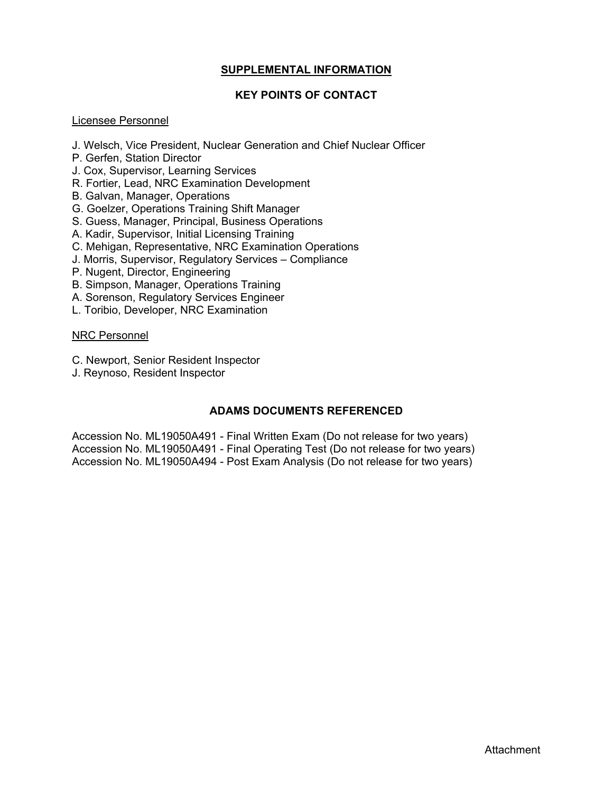# **SUPPLEMENTAL INFORMATION**

# **KEY POINTS OF CONTACT**

## Licensee Personnel

- J. Welsch, Vice President, Nuclear Generation and Chief Nuclear Officer
- P. Gerfen, Station Director
- J. Cox, Supervisor, Learning Services
- R. Fortier, Lead, NRC Examination Development
- B. Galvan, Manager, Operations
- G. Goelzer, Operations Training Shift Manager
- S. Guess, Manager, Principal, Business Operations
- A. Kadir, Supervisor, Initial Licensing Training
- C. Mehigan, Representative, NRC Examination Operations
- J. Morris, Supervisor, Regulatory Services Compliance
- P. Nugent, Director, Engineering
- B. Simpson, Manager, Operations Training
- A. Sorenson, Regulatory Services Engineer
- L. Toribio, Developer, NRC Examination

#### NRC Personnel

- C. Newport, Senior Resident Inspector
- J. Reynoso, Resident Inspector

## **ADAMS DOCUMENTS REFERENCED**

Accession No. ML19050A491 - Final Written Exam (Do not release for two years) Accession No. ML19050A491 - Final Operating Test (Do not release for two years) Accession No. ML19050A494 - Post Exam Analysis (Do not release for two years)